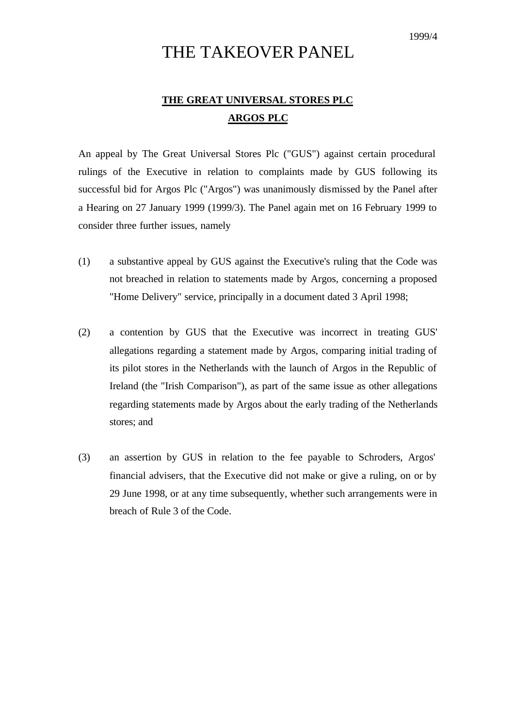# THE TAKEOVER PANEL

## **THE GREAT UNIVERSAL STORES PLC ARGOS PLC**

An appeal by The Great Universal Stores Plc ("GUS") against certain procedural rulings of the Executive in relation to complaints made by GUS following its successful bid for Argos Plc ("Argos") was unanimously dismissed by the Panel after a Hearing on 27 January 1999 (1999/3). The Panel again met on 16 February 1999 to consider three further issues, namely

- (1) a substantive appeal by GUS against the Executive's ruling that the Code was not breached in relation to statements made by Argos, concerning a proposed "Home Delivery" service, principally in a document dated 3 April 1998;
- (2) a contention by GUS that the Executive was incorrect in treating GUS' allegations regarding a statement made by Argos, comparing initial trading of its pilot stores in the Netherlands with the launch of Argos in the Republic of Ireland (the "Irish Comparison"), as part of the same issue as other allegations regarding statements made by Argos about the early trading of the Netherlands stores; and
- (3) an assertion by GUS in relation to the fee payable to Schroders, Argos' financial advisers, that the Executive did not make or give a ruling, on or by 29 June 1998, or at any time subsequently, whether such arrangements were in breach of Rule 3 of the Code.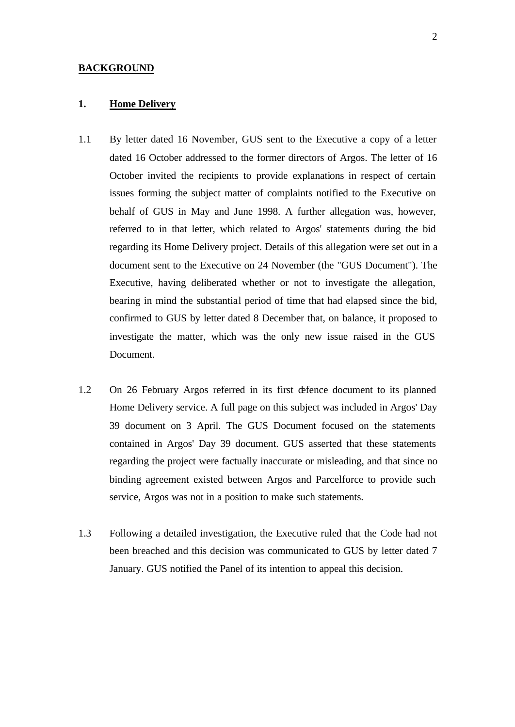#### **BACKGROUND**

#### **1. Home Delivery**

- 1.1 By letter dated 16 November, GUS sent to the Executive a copy of a letter dated 16 October addressed to the former directors of Argos. The letter of 16 October invited the recipients to provide explanations in respect of certain issues forming the subject matter of complaints notified to the Executive on behalf of GUS in May and June 1998. A further allegation was, however, referred to in that letter, which related to Argos' statements during the bid regarding its Home Delivery project. Details of this allegation were set out in a document sent to the Executive on 24 November (the "GUS Document"). The Executive, having deliberated whether or not to investigate the allegation, bearing in mind the substantial period of time that had elapsed since the bid, confirmed to GUS by letter dated 8 December that, on balance, it proposed to investigate the matter, which was the only new issue raised in the GUS Document.
- 1.2 On 26 February Argos referred in its first defence document to its planned Home Delivery service. A full page on this subject was included in Argos' Day 39 document on 3 April. The GUS Document focused on the statements contained in Argos' Day 39 document. GUS asserted that these statements regarding the project were factually inaccurate or misleading, and that since no binding agreement existed between Argos and Parcelforce to provide such service, Argos was not in a position to make such statements.
- 1.3 Following a detailed investigation, the Executive ruled that the Code had not been breached and this decision was communicated to GUS by letter dated 7 January. GUS notified the Panel of its intention to appeal this decision.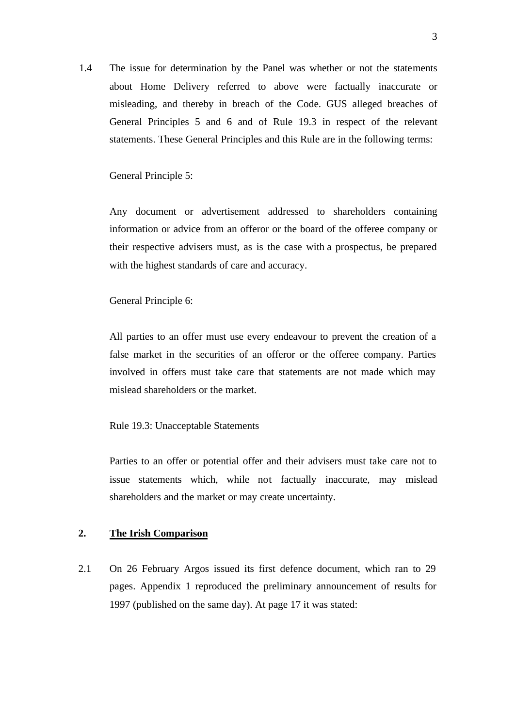1.4 The issue for determination by the Panel was whether or not the statements about Home Delivery referred to above were factually inaccurate or misleading, and thereby in breach of the Code. GUS alleged breaches of General Principles 5 and 6 and of Rule 19.3 in respect of the relevant statements. These General Principles and this Rule are in the following terms:

General Principle 5:

Any document or advertisement addressed to shareholders containing information or advice from an offeror or the board of the offeree company or their respective advisers must, as is the case with a prospectus, be prepared with the highest standards of care and accuracy.

General Principle 6:

All parties to an offer must use every endeavour to prevent the creation of a false market in the securities of an offeror or the offeree company. Parties involved in offers must take care that statements are not made which may mislead shareholders or the market.

Rule 19.3: Unacceptable Statements

Parties to an offer or potential offer and their advisers must take care not to issue statements which, while not factually inaccurate, may mislead shareholders and the market or may create uncertainty.

## **2. The Irish Comparison**

2.1 On 26 February Argos issued its first defence document, which ran to 29 pages. Appendix 1 reproduced the preliminary announcement of results for 1997 (published on the same day). At page 17 it was stated: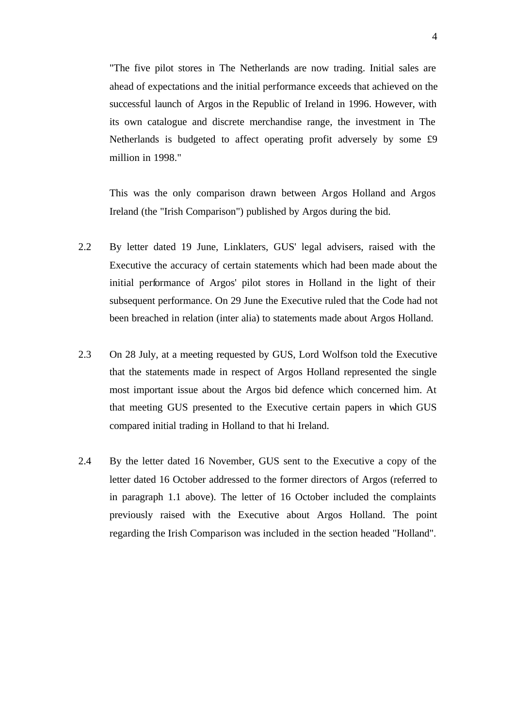"The five pilot stores in The Netherlands are now trading. Initial sales are ahead of expectations and the initial performance exceeds that achieved on the successful launch of Argos in the Republic of Ireland in 1996. However, with its own catalogue and discrete merchandise range, the investment in The Netherlands is budgeted to affect operating profit adversely by some £9 million in 1998."

This was the only comparison drawn between Argos Holland and Argos Ireland (the "Irish Comparison") published by Argos during the bid.

- 2.2 By letter dated 19 June, Linklaters, GUS' legal advisers, raised with the Executive the accuracy of certain statements which had been made about the initial performance of Argos' pilot stores in Holland in the light of their subsequent performance. On 29 June the Executive ruled that the Code had not been breached in relation (inter alia) to statements made about Argos Holland.
- 2.3 On 28 July, at a meeting requested by GUS, Lord Wolfson told the Executive that the statements made in respect of Argos Holland represented the single most important issue about the Argos bid defence which concerned him. At that meeting GUS presented to the Executive certain papers in which GUS compared initial trading in Holland to that hi Ireland.
- 2.4 By the letter dated 16 November, GUS sent to the Executive a copy of the letter dated 16 October addressed to the former directors of Argos (referred to in paragraph 1.1 above). The letter of 16 October included the complaints previously raised with the Executive about Argos Holland. The point regarding the Irish Comparison was included in the section headed "Holland".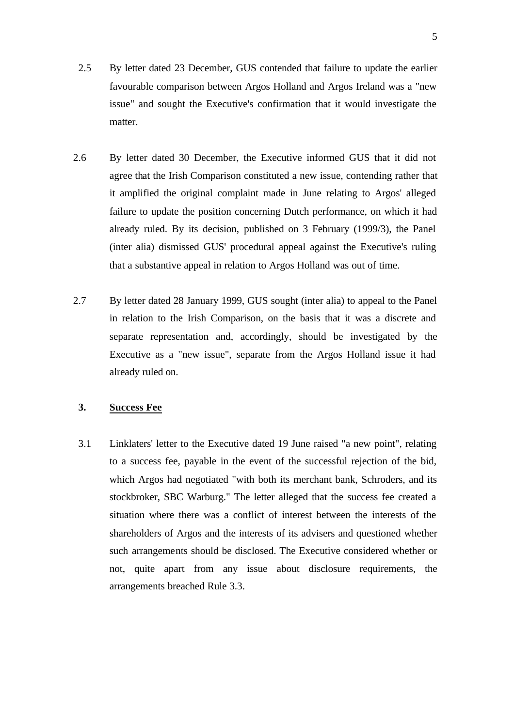- 2.5 By letter dated 23 December, GUS contended that failure to update the earlier favourable comparison between Argos Holland and Argos Ireland was a "new issue" and sought the Executive's confirmation that it would investigate the matter.
- 2.6 By letter dated 30 December, the Executive informed GUS that it did not agree that the Irish Comparison constituted a new issue, contending rather that it amplified the original complaint made in June relating to Argos' alleged failure to update the position concerning Dutch performance, on which it had already ruled. By its decision, published on 3 February (1999/3), the Panel (inter alia) dismissed GUS' procedural appeal against the Executive's ruling that a substantive appeal in relation to Argos Holland was out of time.
- 2.7 By letter dated 28 January 1999, GUS sought (inter alia) to appeal to the Panel in relation to the Irish Comparison, on the basis that it was a discrete and separate representation and, accordingly, should be investigated by the Executive as a "new issue", separate from the Argos Holland issue it had already ruled on.

## **3. Success Fee**

3.1 Linklaters' letter to the Executive dated 19 June raised "a new point", relating to a success fee, payable in the event of the successful rejection of the bid, which Argos had negotiated "with both its merchant bank, Schroders, and its stockbroker, SBC Warburg." The letter alleged that the success fee created a situation where there was a conflict of interest between the interests of the shareholders of Argos and the interests of its advisers and questioned whether such arrangements should be disclosed. The Executive considered whether or not, quite apart from any issue about disclosure requirements, the arrangements breached Rule 3.3.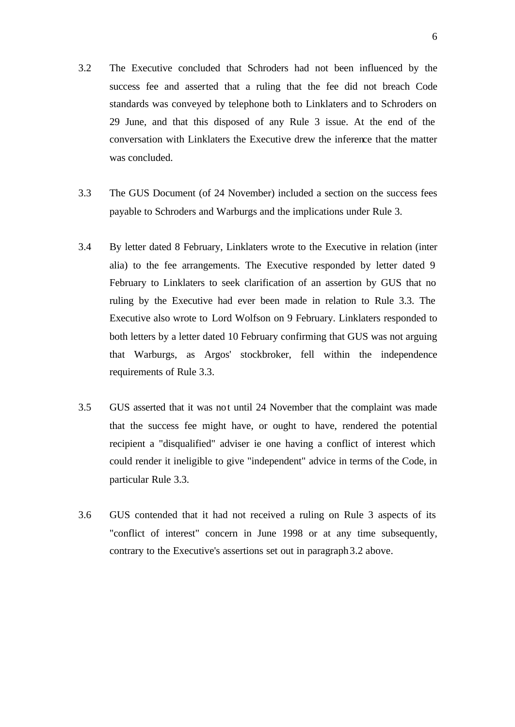- 3.2 The Executive concluded that Schroders had not been influenced by the success fee and asserted that a ruling that the fee did not breach Code standards was conveyed by telephone both to Linklaters and to Schroders on 29 June, and that this disposed of any Rule 3 issue. At the end of the conversation with Linklaters the Executive drew the inference that the matter was concluded.
- 3.3 The GUS Document (of 24 November) included a section on the success fees payable to Schroders and Warburgs and the implications under Rule 3.
- 3.4 By letter dated 8 February, Linklaters wrote to the Executive in relation (inter alia) to the fee arrangements. The Executive responded by letter dated 9 February to Linklaters to seek clarification of an assertion by GUS that no ruling by the Executive had ever been made in relation to Rule 3.3. The Executive also wrote to Lord Wolfson on 9 February. Linklaters responded to both letters by a letter dated 10 February confirming that GUS was not arguing that Warburgs, as Argos' stockbroker, fell within the independence requirements of Rule 3.3.
- 3.5 GUS asserted that it was not until 24 November that the complaint was made that the success fee might have, or ought to have, rendered the potential recipient a "disqualified" adviser ie one having a conflict of interest which could render it ineligible to give "independent" advice in terms of the Code, in particular Rule 3.3.
- 3.6 GUS contended that it had not received a ruling on Rule 3 aspects of its "conflict of interest" concern in June 1998 or at any time subsequently, contrary to the Executive's assertions set out in paragraph 3.2 above.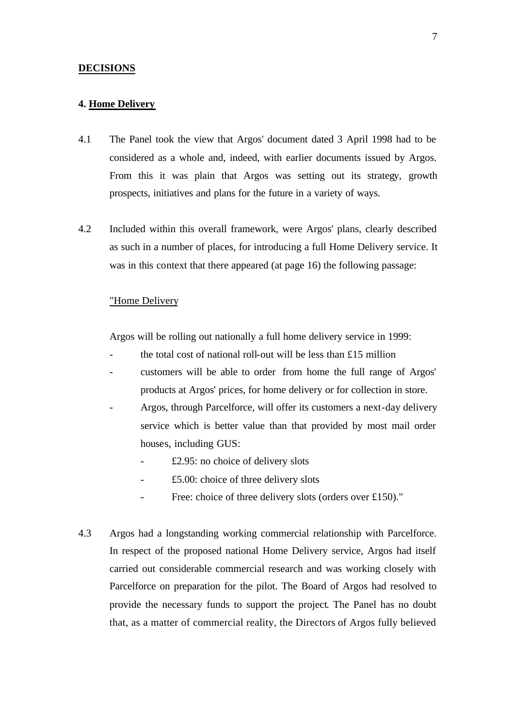#### **DECISIONS**

#### **4. Home Delivery**

- 4.1 The Panel took the view that Argos' document dated 3 April 1998 had to be considered as a whole and, indeed, with earlier documents issued by Argos. From this it was plain that Argos was setting out its strategy, growth prospects, initiatives and plans for the future in a variety of ways.
- 4.2 Included within this overall framework, were Argos' plans, clearly described as such in a number of places, for introducing a full Home Delivery service. It was in this context that there appeared (at page 16) the following passage:

#### "Home Delivery

Argos will be rolling out nationally a full home delivery service in 1999:

- the total cost of national roll-out will be less than  $£15$  million
- customers will be able to order from home the full range of Argos' products at Argos' prices, for home delivery or for collection in store.
- Argos, through Parcelforce, will offer its customers a next-day delivery service which is better value than that provided by most mail order houses, including GUS:
	- $£2.95: no choice of delivery slots$
	- $£5.00:$  choice of three delivery slots
	- Free: choice of three delivery slots (orders over £150)."
- 4.3 Argos had a longstanding working commercial relationship with Parcelforce. In respect of the proposed national Home Delivery service, Argos had itself carried out considerable commercial research and was working closely with Parcelforce on preparation for the pilot. The Board of Argos had resolved to provide the necessary funds to support the project. The Panel has no doubt that, as a matter of commercial reality, the Directors of Argos fully believed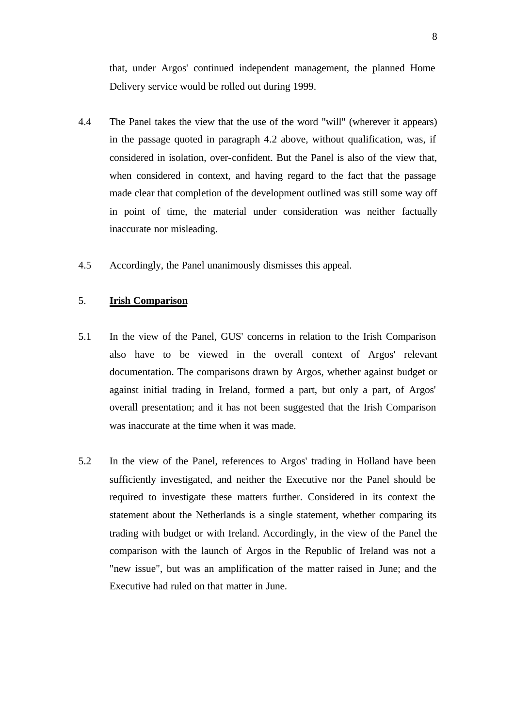that, under Argos' continued independent management, the planned Home Delivery service would be rolled out during 1999.

- 4.4 The Panel takes the view that the use of the word "will" (wherever it appears) in the passage quoted in paragraph 4.2 above, without qualification, was, if considered in isolation, over-confident. But the Panel is also of the view that, when considered in context, and having regard to the fact that the passage made clear that completion of the development outlined was still some way off in point of time, the material under consideration was neither factually inaccurate nor misleading.
- 4.5 Accordingly, the Panel unanimously dismisses this appeal.

## 5. **Irish Comparison**

- 5.1 In the view of the Panel, GUS' concerns in relation to the Irish Comparison also have to be viewed in the overall context of Argos' relevant documentation. The comparisons drawn by Argos, whether against budget or against initial trading in Ireland, formed a part, but only a part, of Argos' overall presentation; and it has not been suggested that the Irish Comparison was inaccurate at the time when it was made.
- 5.2 In the view of the Panel, references to Argos' trading in Holland have been sufficiently investigated, and neither the Executive nor the Panel should be required to investigate these matters further. Considered in its context the statement about the Netherlands is a single statement, whether comparing its trading with budget or with Ireland. Accordingly, in the view of the Panel the comparison with the launch of Argos in the Republic of Ireland was not a "new issue", but was an amplification of the matter raised in June; and the Executive had ruled on that matter in June.